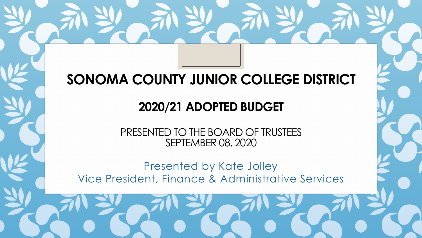## **SONOMA COUNTY JUNIOR COLLEGE DISTRICT**

### **2020/21 ADOPTED BUDGET**

PRESENTED TO THE BOARD OF TRUSTEES SEPTEMBER 08, 2020

Presented by Kate Jolley Vice President, Finance & Administrative Services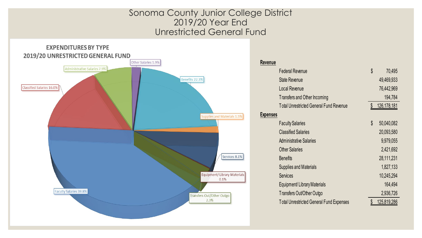#### Sonoma County Junior College District 2019/20 Year End Unrestricted General Fund



| Revenue         |                                                 |            |             |  |  |
|-----------------|-------------------------------------------------|------------|-------------|--|--|
|                 | <b>Federal Revenue</b>                          | \$         | 70,495      |  |  |
|                 | <b>State Revenue</b>                            |            | 49,469,933  |  |  |
|                 | <b>Local Revenue</b>                            |            | 76,442,969  |  |  |
|                 | Transfers and Other Incoming                    | 194,784    |             |  |  |
|                 | <b>Total Unrestricted General Fund Revenue</b>  |            | 126,178,181 |  |  |
| <b>Expenses</b> |                                                 |            |             |  |  |
|                 | <b>Faculty Salaries</b>                         | \$         | 50,040,082  |  |  |
|                 | <b>Classified Salaries</b>                      |            | 20,093,580  |  |  |
|                 | <b>Administrative Salaries</b>                  |            | 9,979,055   |  |  |
|                 | <b>Other Salaries</b>                           | 2,421,692  |             |  |  |
|                 | <b>Benefits</b>                                 | 28,111,231 |             |  |  |
|                 | <b>Supplies and Materials</b>                   |            | 1,827,133   |  |  |
|                 | <b>Services</b>                                 |            | 10,245,294  |  |  |
|                 | Equipment/Library Materials                     |            | 164,494     |  |  |
|                 | Transfers Out/Other Outgo                       |            | 2,936,726   |  |  |
|                 | <b>Total Unrestricted General Fund Expenses</b> |            | 125,819,286 |  |  |
|                 |                                                 |            |             |  |  |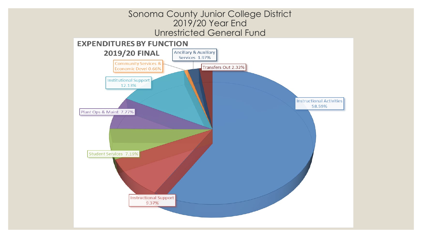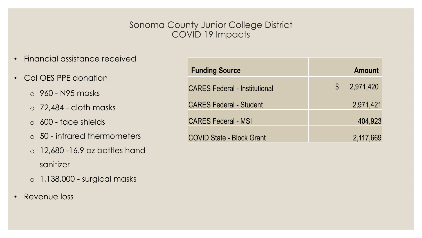#### Sonoma County Junior College District COVID 19 Impacts

- Financial assistance received
- Cal OES PPE donation
	- o 960 N95 masks
	- o 72,484 cloth masks
	- o 600 face shields
	- o 50 infrared thermometers
	- $\circ$  12,680 -16.9 oz bottles hand sanitizer
	- o 1,138,000 surgical masks
- Revenue loss

| <b>Funding Source</b>                |              | <b>Amount</b> |
|--------------------------------------|--------------|---------------|
| <b>CARES Federal - Institutional</b> | $\mathbb{S}$ | 2,971,420     |
| <b>CARES Federal - Student</b>       |              | 2,971,421     |
| <b>CARES Federal - MSI</b>           |              | 404,923       |
| <b>COVID State - Block Grant</b>     |              | 2,117,669     |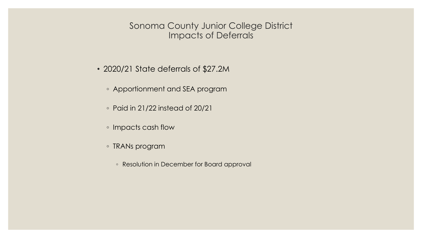#### Sonoma County Junior College District Impacts of Deferrals

- 2020/21 State deferrals of \$27.2M
	- Apportionment and SEA program
	- Paid in 21/22 instead of 20/21
	- Impacts cash flow
	- TRANs program
		- Resolution in December for Board approval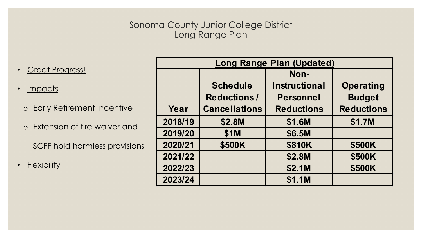#### Sonoma County Junior College District Long Range Plan

- **·** Great Progress!
- Impacts
	- o Early Retirement Incentive
	- o Extension of fire waiver and

SCFF hold harmless provisions

• Flexibility

| <b>Long Range Plan (Updated)</b> |                      |                      |                   |  |  |  |  |
|----------------------------------|----------------------|----------------------|-------------------|--|--|--|--|
|                                  |                      | Non-                 |                   |  |  |  |  |
|                                  | <b>Schedule</b>      | <b>Instructional</b> | <b>Operating</b>  |  |  |  |  |
|                                  | <b>Reductions/</b>   | <b>Personnel</b>     | <b>Budget</b>     |  |  |  |  |
| Year                             | <b>Cancellations</b> | <b>Reductions</b>    | <b>Reductions</b> |  |  |  |  |
| 2018/19                          | \$2.8M               | \$1.6M               | \$1.7M            |  |  |  |  |
| 2019/20                          | \$1M                 | \$6.5M               |                   |  |  |  |  |
| 2020/21                          | \$500K               | <b>\$810K</b>        | \$500K            |  |  |  |  |
| 2021/22                          |                      | \$2.8M               | \$500K            |  |  |  |  |
| 2022/23                          |                      | \$2.1M               | \$500K            |  |  |  |  |
| 2023/24                          |                      | \$1.1M               |                   |  |  |  |  |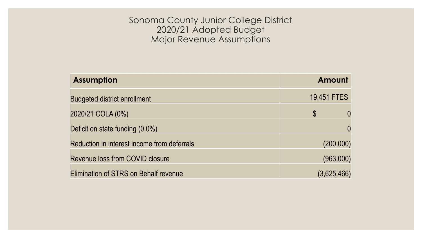Sonoma County Junior College District 2020/21 Adopted Budget Major Revenue Assumptions

| <b>Assumption</b>                            | Amount        |  |  |  |
|----------------------------------------------|---------------|--|--|--|
| <b>Budgeted district enrollment</b>          | 19,451 FTES   |  |  |  |
| 2020/21 COLA (0%)                            | $\mathcal{S}$ |  |  |  |
| Deficit on state funding (0.0%)              |               |  |  |  |
| Reduction in interest income from deferrals  | (200,000)     |  |  |  |
| Revenue loss from COVID closure              | (963,000)     |  |  |  |
| <b>Elimination of STRS on Behalf revenue</b> | (3,625,466)   |  |  |  |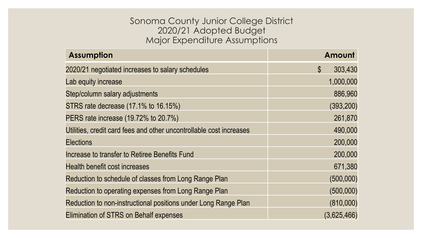#### Sonoma County Junior College District 2020/21 Adopted Budget Major Expenditure Assumptions

| <b>Assumption</b>                                                   | Amount                                |
|---------------------------------------------------------------------|---------------------------------------|
| 2020/21 negotiated increases to salary schedules                    | 303,430<br>$\boldsymbol{\mathcal{S}}$ |
| Lab equity increase                                                 | 1,000,000                             |
| Step/column salary adjustments                                      | 886,960                               |
| STRS rate decrease (17.1% to 16.15%)                                | (393, 200)                            |
| PERS rate increase (19.72% to 20.7%)                                | 261,870                               |
| Utilities, credit card fees and other uncontrollable cost increases | 490,000                               |
| <b>Elections</b>                                                    | 200,000                               |
| Increase to transfer to Retiree Benefits Fund                       | 200,000                               |
| Health benefit cost increases                                       | 671,380                               |
| Reduction to schedule of classes from Long Range Plan               | (500,000)                             |
| Reduction to operating expenses from Long Range Plan                | (500,000)                             |
| Reduction to non-instructional positions under Long Range Plan      | (810,000)                             |
| Elimination of STRS on Behalf expenses                              | (3,625,466)                           |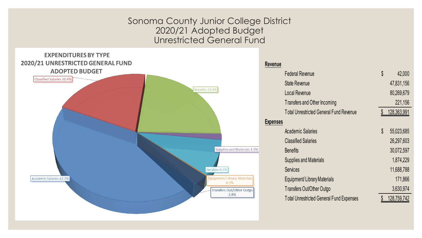Sonoma County Junior College District 2020/21 Adopted Budget Unrestricted General Fund

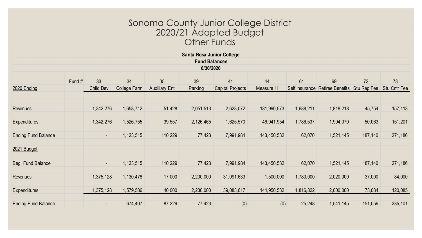#### Sonoma County Junior College District 2020/21 Adopted Budget Other Funds

| Santa Rosa Junior College  |        |           |                     |                      |           |                         |             |                |                         |             |                     |
|----------------------------|--------|-----------|---------------------|----------------------|-----------|-------------------------|-------------|----------------|-------------------------|-------------|---------------------|
| <b>Fund Balances</b>       |        |           |                     |                      |           |                         |             |                |                         |             |                     |
| 6/30/2020                  |        |           |                     |                      |           |                         |             |                |                         |             |                     |
|                            |        |           |                     |                      |           |                         |             |                |                         |             |                     |
|                            | Fund # | 33        | 34                  | 35                   | 39        | 41                      | 44          | 61             | 69                      | 72          | 73                  |
| 2020 Ending                |        | Child Dev | <b>College Farm</b> | <b>Auxiliary Ent</b> | Parking   | <b>Capital Projects</b> | Measure H   | Self Insurance | <b>Retiree Benefits</b> | Stu Rep Fee | <b>Stu Cntr Fee</b> |
|                            |        |           |                     |                      |           |                         |             |                |                         |             |                     |
|                            |        |           |                     |                      |           |                         |             |                |                         |             |                     |
| Revenues                   |        | 1,342,276 | 1,658,712           | 51,428               | 2,051,513 | 2,623,072               | 181,990,573 | 1,688,211      | 1,818,218               | 45,754      | 157,113             |
|                            |        |           |                     |                      |           |                         |             |                |                         |             |                     |
| <b>Expenditures</b>        |        | ,342,276  | 1,526,755           | 39,557               | 2,126,465 | 1,625,570               | 46,941,954  | 1,786,537      | 1,904,070               | 50,063      | 151,201             |
|                            |        |           |                     |                      |           |                         |             |                |                         |             |                     |
| <b>Ending Fund Balance</b> |        | $\sim$    | 1,123,515           | 110,229              | 77,423    | 7,991,984               | 143,450,532 | 62,070         | 1,521,145               | 187,140     | 271,186             |
|                            |        |           |                     |                      |           |                         |             |                |                         |             |                     |
| 2021 Budget                |        |           |                     |                      |           |                         |             |                |                         |             |                     |
|                            |        |           |                     |                      |           |                         |             |                |                         |             |                     |
| Beg. Fund Balance          |        | $\sim$    | 1,123,515           | 110,229              | 77,423    | 7,991,984               | 143,450,532 | 62,070         | 1,521,145               | 187,140     | 271,186             |
|                            |        |           |                     |                      |           |                         |             |                |                         |             |                     |
| <b>Revenues</b>            |        | 1,375,128 | 1,130,478           | 17,000               | 2,230,000 | 31,091,633              | 1,500,000   | 1,780,000      | 2,020,000               | 37,000      | 84,000              |
|                            |        |           |                     |                      |           |                         |             |                |                         |             |                     |
| <b>Expenditures</b>        |        | ,375,128  | 1,579,586           | 40,000               | 2,230,000 | 39,083,617              | 144,950,532 | 1,816,822      | 2,000,000               | 73,084      | 120,085             |
|                            |        |           |                     |                      |           |                         |             |                |                         |             |                     |
| <b>Ending Fund Balance</b> |        | $\sim$    | 674,407             | 87,229               | 77,423    | (0)                     | (0)         | 25,248         | 1,541,145               | 151,056     | 235,101             |